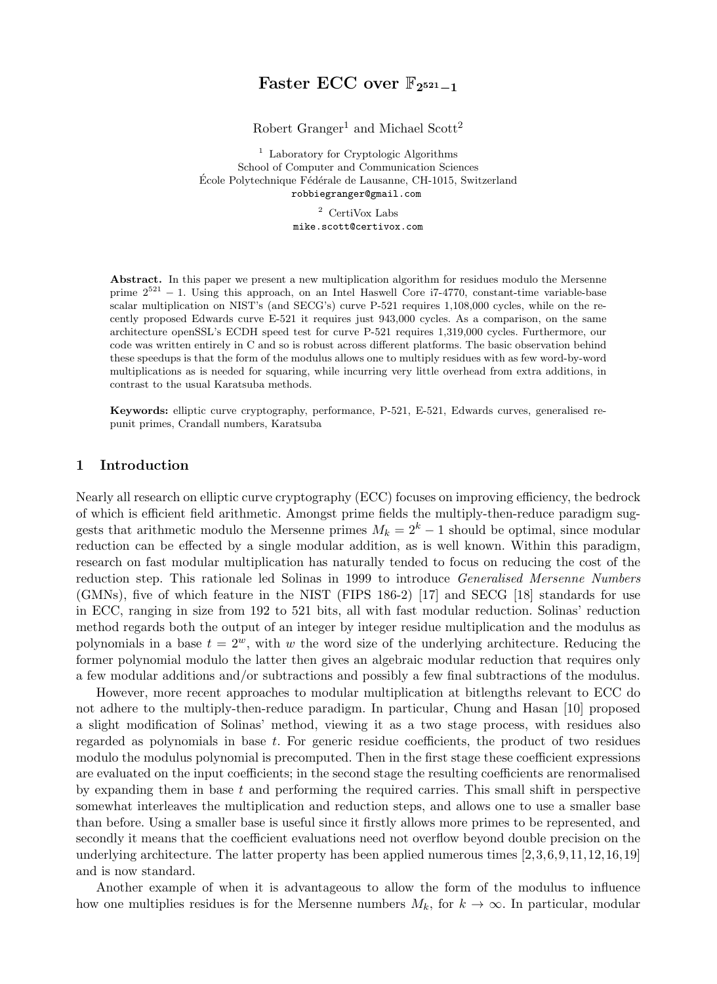# Faster ECC over  $\mathbb{F}_{2^{521}-1}$

Robert Granger<sup>1</sup> and Michael Scott<sup>2</sup>

<sup>1</sup> Laboratory for Cryptologic Algorithms School of Computer and Communication Sciences École Polytechnique Fédérale de Lausanne, CH-1015, Switzerland robbiegranger@gmail.com

> <sup>2</sup> CertiVox Labs mike.scott@certivox.com

Abstract. In this paper we present a new multiplication algorithm for residues modulo the Mersenne prime  $2^{521} - 1$ . Using this approach, on an Intel Haswell Core i7-4770, constant-time variable-base scalar multiplication on NIST's (and SECG's) curve P-521 requires 1,108,000 cycles, while on the recently proposed Edwards curve E-521 it requires just 943,000 cycles. As a comparison, on the same architecture openSSL's ECDH speed test for curve P-521 requires 1,319,000 cycles. Furthermore, our code was written entirely in C and so is robust across different platforms. The basic observation behind these speedups is that the form of the modulus allows one to multiply residues with as few word-by-word multiplications as is needed for squaring, while incurring very little overhead from extra additions, in contrast to the usual Karatsuba methods.

Keywords: elliptic curve cryptography, performance, P-521, E-521, Edwards curves, generalised repunit primes, Crandall numbers, Karatsuba

#### 1 Introduction

Nearly all research on elliptic curve cryptography (ECC) focuses on improving efficiency, the bedrock of which is efficient field arithmetic. Amongst prime fields the multiply-then-reduce paradigm suggests that arithmetic modulo the Mersenne primes  $M_k = 2^k - 1$  should be optimal, since modular reduction can be effected by a single modular addition, as is well known. Within this paradigm, research on fast modular multiplication has naturally tended to focus on reducing the cost of the reduction step. This rationale led Solinas in 1999 to introduce *Generalised Mersenne Numbers* (GMNs), five of which feature in the NIST (FIPS 186-2) [17] and SECG [18] standards for use in ECC, ranging in size from 192 to 521 bits, all with fast modular reduction. Solinas' reduction method regards both the output of an integer by integer residue multiplication and the modulus as polynomials in a base  $t = 2^w$ , with w the word size of the underlying architecture. Reducing the former polynomial modulo the latter then gives an algebraic modular reduction that requires only a few modular additions and/or subtractions and possibly a few final subtractions of the modulus.

However, more recent approaches to modular multiplication at bitlengths relevant to ECC do not adhere to the multiply-then-reduce paradigm. In particular, Chung and Hasan [10] proposed a slight modification of Solinas' method, viewing it as a two stage process, with residues also regarded as polynomials in base t. For generic residue coefficients, the product of two residues modulo the modulus polynomial is precomputed. Then in the first stage these coefficient expressions are evaluated on the input coefficients; in the second stage the resulting coefficients are renormalised by expanding them in base  $t$  and performing the required carries. This small shift in perspective somewhat interleaves the multiplication and reduction steps, and allows one to use a smaller base than before. Using a smaller base is useful since it firstly allows more primes to be represented, and secondly it means that the coefficient evaluations need not overflow beyond double precision on the underlying architecture. The latter property has been applied numerous times [2,3,6,9,11,12,16,19] and is now standard.

Another example of when it is advantageous to allow the form of the modulus to influence how one multiplies residues is for the Mersenne numbers  $M_k$ , for  $k \to \infty$ . In particular, modular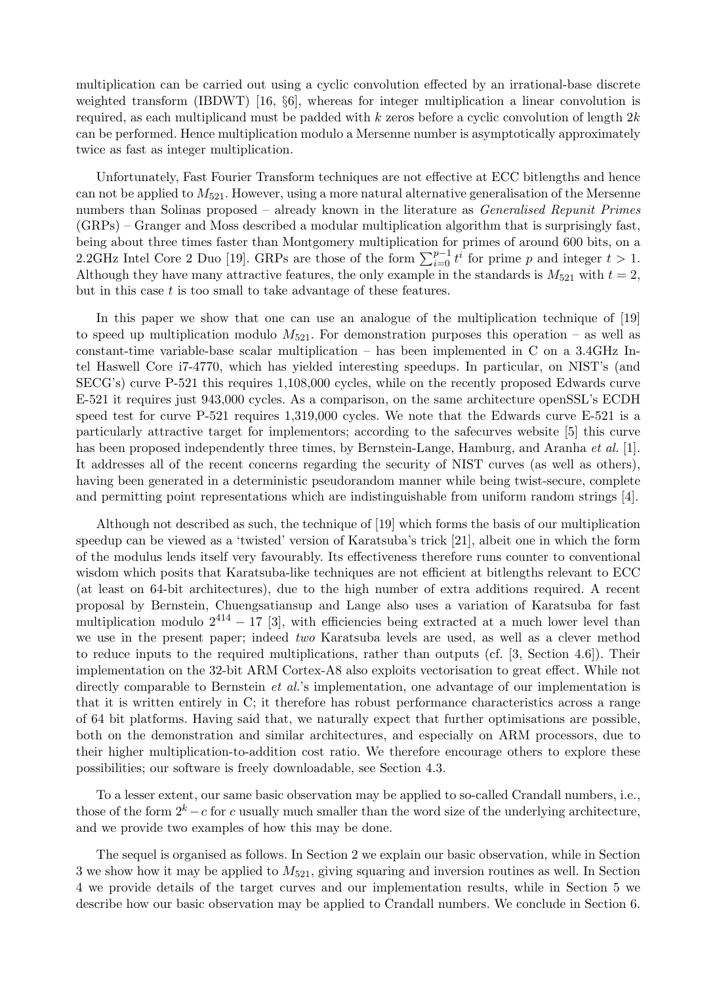multiplication can be carried out using a cyclic convolution effected by an irrational-base discrete weighted transform (IBDWT) [16, §6], whereas for integer multiplication a linear convolution is required, as each multiplicand must be padded with k zeros before a cyclic convolution of length  $2k$ can be performed. Hence multiplication modulo a Mersenne number is asymptotically approximately twice as fast as integer multiplication.

Unfortunately, Fast Fourier Transform techniques are not effective at ECC bitlengths and hence can not be applied to  $M_{521}$ . However, using a more natural alternative generalisation of the Mersenne numbers than Solinas proposed – already known in the literature as *Generalised Repunit Primes* (GRPs) – Granger and Moss described a modular multiplication algorithm that is surprisingly fast, being about three times faster than Montgomery multiplication for primes of around 600 bits, on a 2.2GHz Intel Core 2 Duo [19]. GRPs are those of the form  $\sum_{i=0}^{p-1} t^i$  for prime p and integer  $t > 1$ . Although they have many attractive features, the only example in the standards is  $M_{521}$  with  $t = 2$ , but in this case  $t$  is too small to take advantage of these features.

In this paper we show that one can use an analogue of the multiplication technique of [19] to speed up multiplication modulo  $M_{521}$ . For demonstration purposes this operation – as well as constant-time variable-base scalar multiplication – has been implemented in C on a 3.4GHz Intel Haswell Core i7-4770, which has yielded interesting speedups. In particular, on NIST's (and SECG's) curve P-521 this requires 1,108,000 cycles, while on the recently proposed Edwards curve E-521 it requires just 943,000 cycles. As a comparison, on the same architecture openSSL's ECDH speed test for curve P-521 requires 1,319,000 cycles. We note that the Edwards curve E-521 is a particularly attractive target for implementors; according to the safecurves website [5] this curve has been proposed independently three times, by Bernstein-Lange, Hamburg, and Aranha *et al.* [1]. It addresses all of the recent concerns regarding the security of NIST curves (as well as others), having been generated in a deterministic pseudorandom manner while being twist-secure, complete and permitting point representations which are indistinguishable from uniform random strings [4].

Although not described as such, the technique of [19] which forms the basis of our multiplication speedup can be viewed as a 'twisted' version of Karatsuba's trick [21], albeit one in which the form of the modulus lends itself very favourably. Its effectiveness therefore runs counter to conventional wisdom which posits that Karatsuba-like techniques are not efficient at bitlengths relevant to ECC (at least on 64-bit architectures), due to the high number of extra additions required. A recent proposal by Bernstein, Chuengsatiansup and Lange also uses a variation of Karatsuba for fast multiplication modulo  $2^{414} - 17$  [3], with efficiencies being extracted at a much lower level than we use in the present paper; indeed two Karatsuba levels are used, as well as a clever method to reduce inputs to the required multiplications, rather than outputs (cf. [3, Section 4.6]). Their implementation on the 32-bit ARM Cortex-A8 also exploits vectorisation to great effect. While not directly comparable to Bernstein *et al.*'s implementation, one advantage of our implementation is that it is written entirely in C; it therefore has robust performance characteristics across a range of 64 bit platforms. Having said that, we naturally expect that further optimisations are possible, both on the demonstration and similar architectures, and especially on ARM processors, due to their higher multiplication-to-addition cost ratio. We therefore encourage others to explore these possibilities; our software is freely downloadable, see Section 4.3.

To a lesser extent, our same basic observation may be applied to so-called Crandall numbers, i.e., those of the form  $2^k - c$  for c usually much smaller than the word size of the underlying architecture, and we provide two examples of how this may be done.

The sequel is organised as follows. In Section 2 we explain our basic observation, while in Section 3 we show how it may be applied to  $M_{521}$ , giving squaring and inversion routines as well. In Section 4 we provide details of the target curves and our implementation results, while in Section 5 we describe how our basic observation may be applied to Crandall numbers. We conclude in Section 6.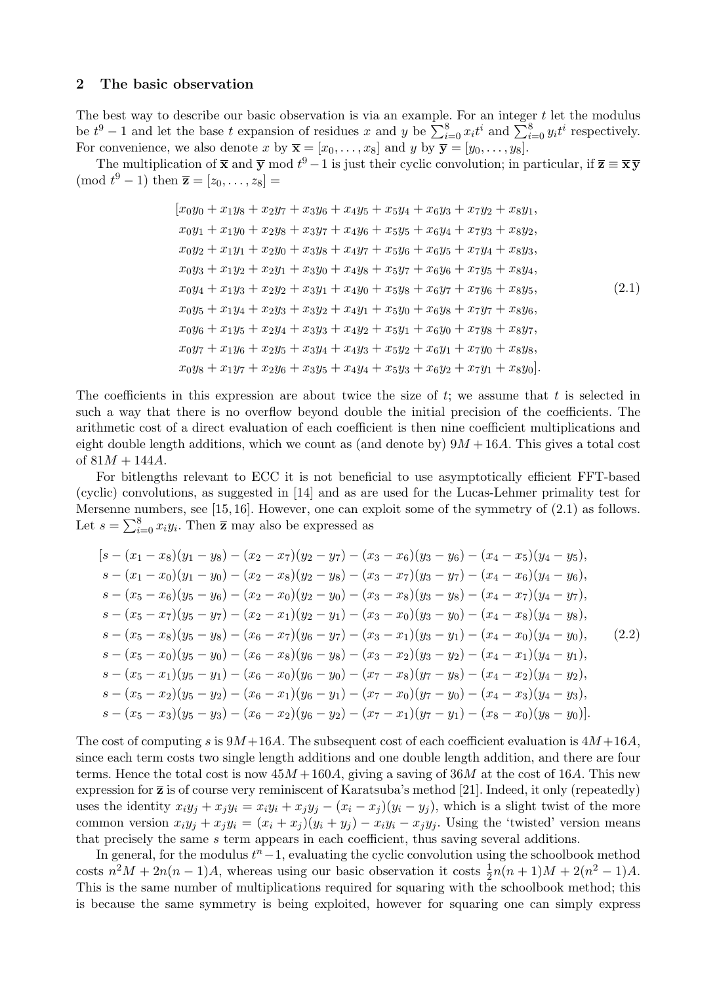#### 2 The basic observation

The best way to describe our basic observation is via an example. For an integer  $t$  let the modulus be  $t^9 - 1$  and let the base t expansion of residues x and y be  $\sum_{i=0}^{8} x_i t^i$  and  $\sum_{i=0}^{8} y_i t^i$  respectively. For convenience, we also denote x by  $\overline{\mathbf{x}} = [x_0, \dots, x_8]$  and y by  $\overline{\mathbf{y}} = [y_0, \dots, y_8]$ .

The multiplication of  $\bar{x}$  and  $\bar{y}$  mod  $t^9 - 1$  is just their cyclic convolution; in particular, if  $\bar{z} \equiv \bar{x} \bar{y}$ (mod  $t^9 - 1$ ) then  $\bar{z} = [z_0, \ldots, z_8] =$ 

$$
[x_0y_0 + x_1y_8 + x_2y_7 + x_3y_6 + x_4y_5 + x_5y_4 + x_6y_3 + x_7y_2 + x_8y_1, \nx_0y_1 + x_1y_0 + x_2y_8 + x_3y_7 + x_4y_6 + x_5y_5 + x_6y_4 + x_7y_3 + x_8y_2, \nx_0y_2 + x_1y_1 + x_2y_0 + x_3y_8 + x_4y_7 + x_5y_6 + x_6y_5 + x_7y_4 + x_8y_3, \nx_0y_3 + x_1y_2 + x_2y_1 + x_3y_0 + x_4y_8 + x_5y_7 + x_6y_6 + x_7y_5 + x_8y_4, \nx_0y_4 + x_1y_3 + x_2y_2 + x_3y_1 + x_4y_0 + x_5y_8 + x_6y_7 + x_7y_6 + x_8y_5, \nx_0y_5 + x_1y_4 + x_2y_3 + x_3y_2 + x_4y_1 + x_5y_0 + x_6y_8 + x_7y_7 + x_8y_6, \nx_0y_6 + x_1y_5 + x_2y_4 + x_3y_3 + x_4y_2 + x_5y_1 + x_6y_0 + x_7y_8 + x_8y_7, \nx_0y_7 + x_1y_6 + x_2y_5 + x_3y_4 + x_4y_3 + x_5y_2 + x_6y_1 + x_7y_0 + x_8y_8, \nx_0y_8 + x_1y_7 + x_2y_6 + x_3y_5 + x_4y_4 + x_5y_3 + x_6y_2 + x_7y_1 + x_8y_0].
$$

The coefficients in this expression are about twice the size of  $t$ ; we assume that  $t$  is selected in such a way that there is no overflow beyond double the initial precision of the coefficients. The arithmetic cost of a direct evaluation of each coefficient is then nine coefficient multiplications and eight double length additions, which we count as (and denote by)  $9M + 16A$ . This gives a total cost of  $81M + 144A$ .

For bitlengths relevant to ECC it is not beneficial to use asymptotically efficient FFT-based (cyclic) convolutions, as suggested in [14] and as are used for the Lucas-Lehmer primality test for Mersenne numbers, see [15, 16]. However, one can exploit some of the symmetry of (2.1) as follows. Let  $s = \sum_{i=0}^{8} x_i y_i$ . Then  $\overline{z}$  may also be expressed as

$$
[s - (x_1 - x_8)(y_1 - y_8) - (x_2 - x_7)(y_2 - y_7) - (x_3 - x_6)(y_3 - y_6) - (x_4 - x_5)(y_4 - y_5),s - (x_1 - x_0)(y_1 - y_0) - (x_2 - x_8)(y_2 - y_8) - (x_3 - x_7)(y_3 - y_7) - (x_4 - x_6)(y_4 - y_6),s - (x_5 - x_6)(y_5 - y_6) - (x_2 - x_0)(y_2 - y_0) - (x_3 - x_8)(y_3 - y_8) - (x_4 - x_7)(y_4 - y_7),s - (x_5 - x_7)(y_5 - y_7) - (x_2 - x_1)(y_2 - y_1) - (x_3 - x_0)(y_3 - y_0) - (x_4 - x_8)(y_4 - y_8),s - (x_5 - x_8)(y_5 - y_8) - (x_6 - x_7)(y_6 - y_7) - (x_3 - x_1)(y_3 - y_1) - (x_4 - x_0)(y_4 - y_0),s - (x_5 - x_0)(y_5 - y_0) - (x_6 - x_8)(y_6 - y_8) - (x_3 - x_2)(y_3 - y_2) - (x_4 - x_1)(y_4 - y_1),s - (x_5 - x_1)(y_5 - y_1) - (x_6 - x_0)(y_6 - y_0) - (x_7 - x_8)(y_7 - y_8) - (x_4 - x_2)(y_4 - y_2),s - (x_5 - x_2)(y_5 - y_2) - (x_6 - x_1)(y_6 - y_1) - (x_7 - x_0)(y_7 - y_0) - (x_4 - x_3)(y_4 - y_3),s - (x_5 - x_3)(y_5 - y_3) - (x_6 - x_2)(y_6 - y_2) - (x_7 - x_1)(y_7 - y_1) - (x_8 - x_0)(y_8 - y_0)].
$$

The cost of computing s is  $9M + 16A$ . The subsequent cost of each coefficient evaluation is  $4M + 16A$ , since each term costs two single length additions and one double length addition, and there are four terms. Hence the total cost is now  $45M + 160A$ , giving a saving of  $36M$  at the cost of  $16A$ . This new expression for  $\bar{z}$  is of course very reminiscent of Karatsuba's method [21]. Indeed, it only (repeatedly) uses the identity  $x_i y_j + x_j y_i = x_i y_i + x_j y_j - (x_i - x_j)(y_i - y_j)$ , which is a slight twist of the more common version  $x_i y_j + x_j y_i = (x_i + x_j)(y_i + y_j) - x_i y_i - x_j y_j$ . Using the 'twisted' version means that precisely the same s term appears in each coefficient, thus saving several additions.

In general, for the modulus  $t<sup>n</sup> - 1$ , evaluating the cyclic convolution using the schoolbook method costs  $n^2M + 2n(n-1)A$ , whereas using our basic observation it costs  $\frac{1}{2}n(n+1)M + 2(n^2 - 1)A$ . This is the same number of multiplications required for squaring with the schoolbook method; this is because the same symmetry is being exploited, however for squaring one can simply express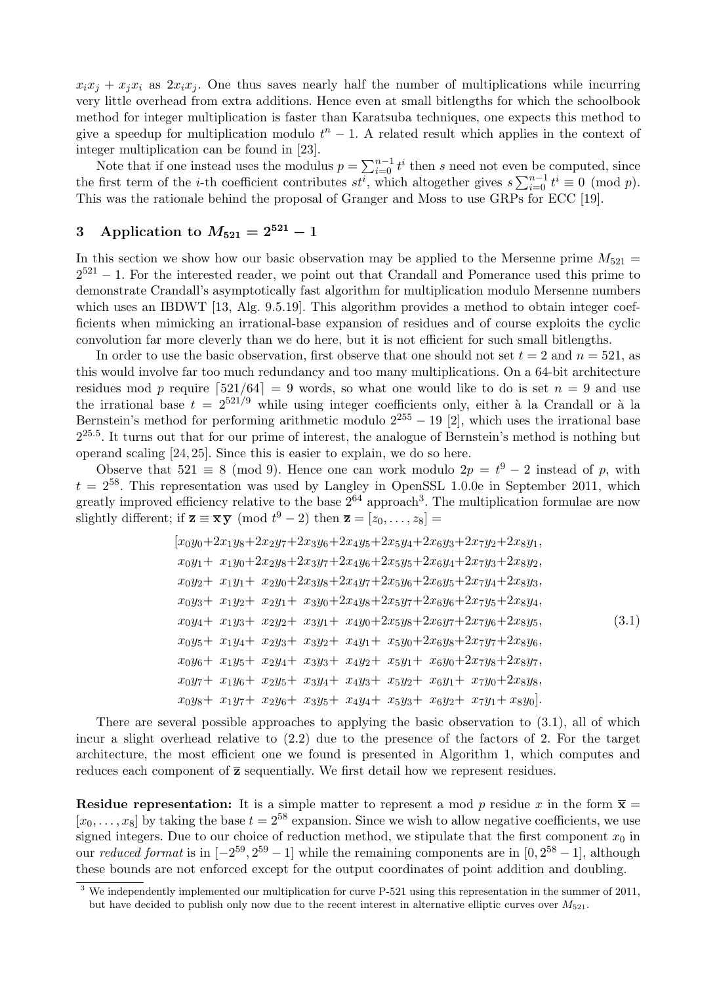$x_ix_j + x_ix_i$  as  $2x_ix_j$ . One thus saves nearly half the number of multiplications while incurring very little overhead from extra additions. Hence even at small bitlengths for which the schoolbook method for integer multiplication is faster than Karatsuba techniques, one expects this method to give a speedup for multiplication modulo  $t<sup>n</sup> - 1$ . A related result which applies in the context of integer multiplication can be found in [23].

Note that if one instead uses the modulus  $p = \sum_{i=0}^{n-1} t^i$  then s need not even be computed, since the first term of the *i*-th coefficient contributes  $st^{\overline{i}}$ , which altogether gives  $s \sum_{i=0}^{n-1} t^i \equiv 0 \pmod{p}$ . This was the rationale behind the proposal of Granger and Moss to use GRPs for ECC [19].

## 3 Application to  $M_{521} = 2^{521} - 1$

In this section we show how our basic observation may be applied to the Mersenne prime  $M_{521}$  =  $2^{521} - 1$ . For the interested reader, we point out that Crandall and Pomerance used this prime to demonstrate Crandall's asymptotically fast algorithm for multiplication modulo Mersenne numbers which uses an IBDWT [13, Alg. 9.5.19]. This algorithm provides a method to obtain integer coefficients when mimicking an irrational-base expansion of residues and of course exploits the cyclic convolution far more cleverly than we do here, but it is not efficient for such small bitlengths.

In order to use the basic observation, first observe that one should not set  $t = 2$  and  $n = 521$ , as this would involve far too much redundancy and too many multiplications. On a 64-bit architecture residues mod p require  $\lceil 521/64 \rceil = 9$  words, so what one would like to do is set  $n = 9$  and use the irrational base  $t = 2^{521/9}$  while using integer coefficients only, either à la Crandall or à la Bernstein's method for performing arithmetic modulo  $2^{255} - 19$  [2], which uses the irrational base  $2^{25.5}$ . It turns out that for our prime of interest, the analogue of Bernstein's method is nothing but operand scaling [24, 25]. Since this is easier to explain, we do so here.

Observe that  $521 \equiv 8 \pmod{9}$ . Hence one can work modulo  $2p = t^9 - 2$  instead of p, with  $t = 2^{58}$ . This representation was used by Langley in OpenSSL 1.0.0e in September 2011, which greatly improved efficiency relative to the base  $2^{64}$  approach<sup>3</sup>. The multiplication formulae are now slightly different; if  $\overline{\mathbf{z}} \equiv \overline{\mathbf{x}} \overline{\mathbf{y}} \pmod{t^9 - 2}$  then  $\overline{\mathbf{z}} = [z_0, \ldots, z_8] =$ 

$$
[x_0y_0+2x_1y_8+2x_2y_7+2x_3y_6+2x_4y_5+2x_5y_4+2x_6y_3+2x_7y_2+2x_8y_1, \nx_0y_1 + x_1y_0+2x_2y_8+2x_3y_7+2x_4y_6+2x_5y_5+2x_6y_4+2x_7y_3+2x_8y_2, \nx_0y_2 + x_1y_1 + x_2y_0+2x_3y_8+2x_4y_7+2x_5y_6+2x_6y_5+2x_7y_4+2x_8y_3, \nx_0y_3 + x_1y_2 + x_2y_1 + x_3y_0+2x_4y_8+2x_5y_7+2x_6y_6+2x_7y_5+2x_8y_4, \nx_0y_4 + x_1y_3 + x_2y_2 + x_3y_1 + x_4y_0+2x_5y_8+2x_6y_7+2x_7y_6+2x_8y_5, \nx_0y_5 + x_1y_4 + x_2y_3 + x_3y_2 + x_4y_1 + x_5y_0+2x_6y_8+2x_7y_7+2x_8y_6, \nx_0y_6 + x_1y_5 + x_2y_4 + x_3y_3 + x_4y_2 + x_5y_1 + x_6y_0+2x_7y_8+2x_8y_7, \nx_0y_7 + x_1y_6 + x_2y_5 + x_3y_4 + x_4y_3 + x_5y_2 + x_6y_1 + x_7y_0+2x_8y_8, \nx_0y_8 + x_1y_7 + x_2y_6 + x_3y_5 + x_4y_4 + x_5y_3 + x_6y_2 + x_7y_1 + x_8y_0].
$$
\n(3.1)

There are several possible approaches to applying the basic observation to (3.1), all of which incur a slight overhead relative to (2.2) due to the presence of the factors of 2. For the target architecture, the most efficient one we found is presented in Algorithm 1, which computes and reduces each component of  $\bar{z}$  sequentially. We first detail how we represent residues.

**Residue representation:** It is a simple matter to represent a mod p residue x in the form  $\bar{x}$  =  $[x_0, \ldots, x_8]$  by taking the base  $t = 2^{58}$  expansion. Since we wish to allow negative coefficients, we use signed integers. Due to our choice of reduction method, we stipulate that the first component  $x_0$  in our *reduced format* is in  $[-2^{59}, 2^{59} - 1]$  while the remaining components are in  $[0, 2^{58} - 1]$ , although these bounds are not enforced except for the output coordinates of point addition and doubling.

 $\overline{3}$  We independently implemented our multiplication for curve P-521 using this representation in the summer of 2011, but have decided to publish only now due to the recent interest in alternative elliptic curves over  $M_{521}$ .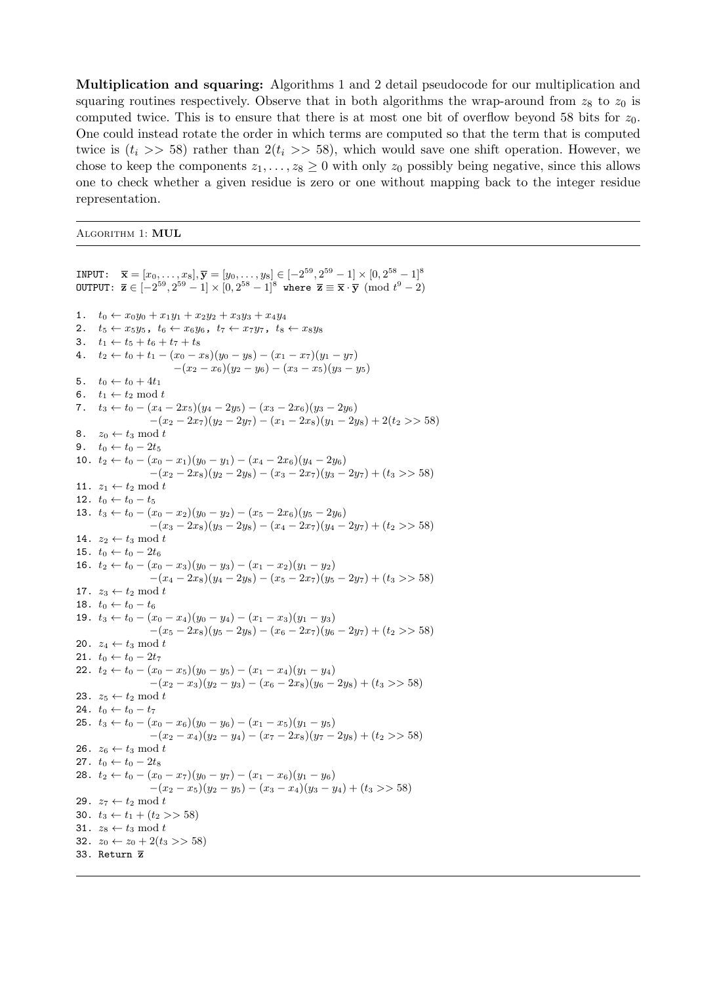Multiplication and squaring: Algorithms 1 and 2 detail pseudocode for our multiplication and squaring routines respectively. Observe that in both algorithms the wrap-around from  $z_8$  to  $z_0$  is computed twice. This is to ensure that there is at most one bit of overflow beyond 58 bits for  $z_0$ . One could instead rotate the order in which terms are computed so that the term that is computed twice is  $(t_i \gg 58)$  rather than  $2(t_i \gg 58)$ , which would save one shift operation. However, we chose to keep the components  $z_1, \ldots, z_8 \geq 0$  with only  $z_0$  possibly being negative, since this allows one to check whether a given residue is zero or one without mapping back to the integer residue representation.

#### ALGORITHM 1: MUL

INPUT:  $\overline{\mathbf{x}} = [x_0, \dots, x_8], \overline{\mathbf{y}} = [y_0, \dots, y_8] \in [-2^{59}, 2^{59} - 1] \times [0, 2^{58} - 1]$ <sup>8</sup> OUTPUT:  $\overline{\mathbf{z}} \in [-2^{59}, 2^{59}-1] \times [0, 2^{58}-1]^8$  where  $\overline{\mathbf{z}} \equiv \overline{\mathbf{x}} \cdot \overline{\mathbf{y}} \pmod{t^9-2}$ 1.  $t_0 \leftarrow x_0 y_0 + x_1 y_1 + x_2 y_2 + x_3 y_3 + x_4 y_4$ 2.  $t_5 \leftarrow x_5y_5$ ,  $t_6 \leftarrow x_6y_6$ ,  $t_7 \leftarrow x_7y_7$ ,  $t_8 \leftarrow x_8y_8$ 3.  $t_1 \leftarrow t_5 + t_6 + t_7 + t_8$ 4.  $t_2 \leftarrow t_0 + t_1 - (x_0 - x_8)(y_0 - y_8) - (x_1 - x_7)(y_1 - y_7)$  $-(x_2-x_6)(y_2-y_6)-(x_3-x_5)(y_3-y_5)$ 5.  $t_0 \leftarrow t_0 + 4t_1$ 6.  $t_1 \leftarrow t_2 \mod t$ 7.  $t_3 \leftarrow t_0 - (x_4 - 2x_5)(y_4 - 2y_5) - (x_3 - 2x_6)(y_3 - 2y_6)$  $-(x_2 - 2x_7)(y_2 - 2y_7) - (x_1 - 2x_8)(y_1 - 2y_8) + 2(t_2 \gg 58)$ 8.  $z_0 \leftarrow t_3 \mod t$ 9.  $t_0 \leftarrow t_0 - 2t_5$ 10.  $t_2 \leftarrow t_0 - (x_0 - x_1)(y_0 - y_1) - (x_4 - 2x_6)(y_4 - 2y_6)$  $-(x_2 - 2x_8)(y_2 - 2y_8) - (x_3 - 2x_7)(y_3 - 2y_7) + (t_3 > 58)$ 11.  $z_1 \leftarrow t_2 \mod t$ 12.  $t_0 \leftarrow t_0 - t_5$ 13.  $t_3 \leftarrow t_0 - (x_0 - x_2)(y_0 - y_2) - (x_5 - 2x_6)(y_5 - 2y_6)$  $-(x_3 - 2x_8)(y_3 - 2y_8) - (x_4 - 2x_7)(y_4 - 2y_7) + (t_2 > 58)$ 14.  $z_2 \leftarrow t_3 \mod t$ 15.  $t_0 \leftarrow t_0 - 2t_6$ 16.  $t_2 \leftarrow t_0 - (x_0 - x_3)(y_0 - y_3) - (x_1 - x_2)(y_1 - y_2)$  $-(x_4 - 2x_8)(y_4 - 2y_8) - (x_5 - 2x_7)(y_5 - 2y_7) + (t_3 > 58)$ 17.  $z_3 \leftarrow t_2 \mod t$ 18.  $t_0 \leftarrow t_0 - t_6$ 19.  $t_3 \leftarrow t_0 - (x_0 - x_4)(y_0 - y_4) - (x_1 - x_3)(y_1 - y_3)$  $-(x_5 - 2x_8)(y_5 - 2y_8) - (x_6 - 2x_7)(y_6 - 2y_7) + (t_2 > 58)$ 20.  $z_4 \leftarrow t_3 \mod t$ 21.  $t_0 \leftarrow t_0 - 2t_7$ 22.  $t_2 \leftarrow t_0 - (x_0 - x_5)(y_0 - y_5) - (x_1 - x_4)(y_1 - y_4)$  $-(x_2 - x_3)(y_2 - y_3) - (x_6 - 2x_8)(y_6 - 2y_8) + (t_3 > 58)$ 23.  $z_5 \leftarrow t_2 \mod t$ 24.  $t_0 \leftarrow t_0 - t_7$ 25.  $t_3 \leftarrow t_0 - (x_0 - x_6)(y_0 - y_6) - (x_1 - x_5)(y_1 - y_5)$  $-(x_2 - x_4)(y_2 - y_4) - (x_7 - 2x_8)(y_7 - 2y_8) + (t_2 \gg 58)$ 26.  $z_6 \leftarrow t_3 \mod t$ 27.  $t_0 \leftarrow t_0 - 2t_8$ 28.  $t_2 \leftarrow t_0 - (x_0 - x_7)(y_0 - y_7) - (x_1 - x_6)(y_1 - y_6)$  $-(x_2 - x_5)(y_2 - y_5) - (x_3 - x_4)(y_3 - y_4) + (t_3 \gg 58)$ 29.  $z_7 \leftarrow t_2 \mod t$ 30.  $t_3 \leftarrow t_1 + (t_2 >> 58)$ 31.  $z_8 \leftarrow t_3 \mod t$ 32.  $z_0$  ←  $z_0$  + 2( $t_3$  >> 58) 33. Return z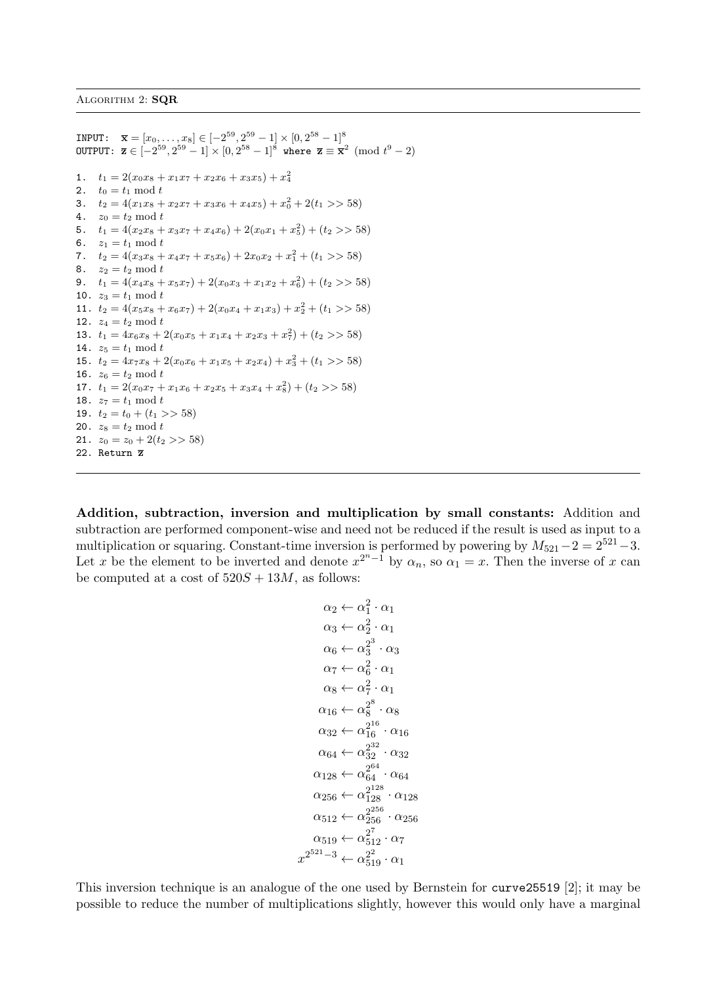```
INPUT: \overline{\mathbf{x}} = [x_0, \dots, x_8] \in [-2^{59}, 2^{59} - 1] \times [0, 2^{58} - 1]^{8}OUTPUT: \overline{\mathbf{z}} \in [-2^{59}, 2^{59}-1] \times [0, 2^{58}-1]^8 where \overline{\mathbf{z}} \equiv \overline{\mathbf{x}}^2 \pmod{t^9-2}1. t_1 = 2(x_0x_8 + x_1x_7 + x_2x_6 + x_3x_5) + x_4^22. t_0 = t_1 \mod t3. t_2 = 4(x_1x_8 + x_2x_7 + x_3x_6 + x_4x_5) + x_0^2 + 2(t_1 >> 58)4. z_0 = t_2 \mod t5. t_1 = 4(x_2x_8 + x_3x_7 + x_4x_6) + 2(x_0x_1 + x_5^2) + (t_2 > 58)6. z_1 = t_1 \mod t7. t_2 = 4(x_3x_8 + x_4x_7 + x_5x_6) + 2x_0x_2 + x_1^2 + (t_1 >> 58)8. z_2 = t_2 \mod t9. t_1 = 4(x_4x_8 + x_5x_7) + 2(x_0x_3 + x_1x_2 + x_6^2) + (t_2 > 58)10. z_3 = t_1 \mod t11. t_2 = 4(x_5x_8 + x_6x_7) + 2(x_0x_4 + x_1x_3) + x_2^2 + (t_1 \gg 58)12. z_4 = t_2 \mod t13. t_1 = 4x_6x_8 + 2(x_0x_5 + x_1x_4 + x_2x_3 + x_7^2) + (t_2 \gg 58)14. z_5 = t_1 \mod t15. t_2 = 4x_7x_8 + 2(x_0x_6 + x_1x_5 + x_2x_4) + x_3^2 + (t_1 >> 58)16. z_6 = t_2 \mod t17. t_1 = 2(x_0x_7 + x_1x_6 + x_2x_5 + x_3x_4 + x_8^2) + (t_2 \gg 58)18. z_7 = t_1 \bmod t19. t_2 = t_0 + (t_1 >> 58)20. z_8 = t_2 \mod t21. z_0 = z_0 + 2(t_2 >> 58)22. Return z
```
Addition, subtraction, inversion and multiplication by small constants: Addition and subtraction are performed component-wise and need not be reduced if the result is used as input to a multiplication or squaring. Constant-time inversion is performed by powering by  $M_{521}-2=2^{521}-3$ . Let x be the element to be inverted and denote  $x^{2^{n}-1}$  by  $\alpha_n$ , so  $\alpha_1 = x$ . Then the inverse of x can be computed at a cost of  $520S + 13M$ , as follows:

$$
\alpha_2 \leftarrow \alpha_1^2 \cdot \alpha_1
$$
  
\n
$$
\alpha_3 \leftarrow \alpha_2^2 \cdot \alpha_1
$$
  
\n
$$
\alpha_6 \leftarrow \alpha_3^{2^3} \cdot \alpha_3
$$
  
\n
$$
\alpha_7 \leftarrow \alpha_6^2 \cdot \alpha_1
$$
  
\n
$$
\alpha_8 \leftarrow \alpha_7^2 \cdot \alpha_1
$$
  
\n
$$
\alpha_{16} \leftarrow \alpha_8^{2^8} \cdot \alpha_8
$$
  
\n
$$
\alpha_{32} \leftarrow \alpha_{16}^{2^{16}} \cdot \alpha_{16}
$$
  
\n
$$
\alpha_{64} \leftarrow \alpha_{32}^{2^{26}} \cdot \alpha_{32}
$$
  
\n
$$
\alpha_{128} \leftarrow \alpha_{64}^{2^{64}} \cdot \alpha_{64}
$$
  
\n
$$
\alpha_{256} \leftarrow \alpha_{128}^{2^{128}} \cdot \alpha_{128}
$$
  
\n
$$
\alpha_{512} \leftarrow \alpha_{256}^{2^{256}} \cdot \alpha_{256}
$$
  
\n
$$
\alpha_{519} \leftarrow \alpha_{512}^{2^2} \cdot \alpha_7
$$
  
\n
$$
x^{2^{521}-3} \leftarrow \alpha_{519}^{2^2} \cdot \alpha_1
$$

This inversion technique is an analogue of the one used by Bernstein for curve25519 [2]; it may be possible to reduce the number of multiplications slightly, however this would only have a marginal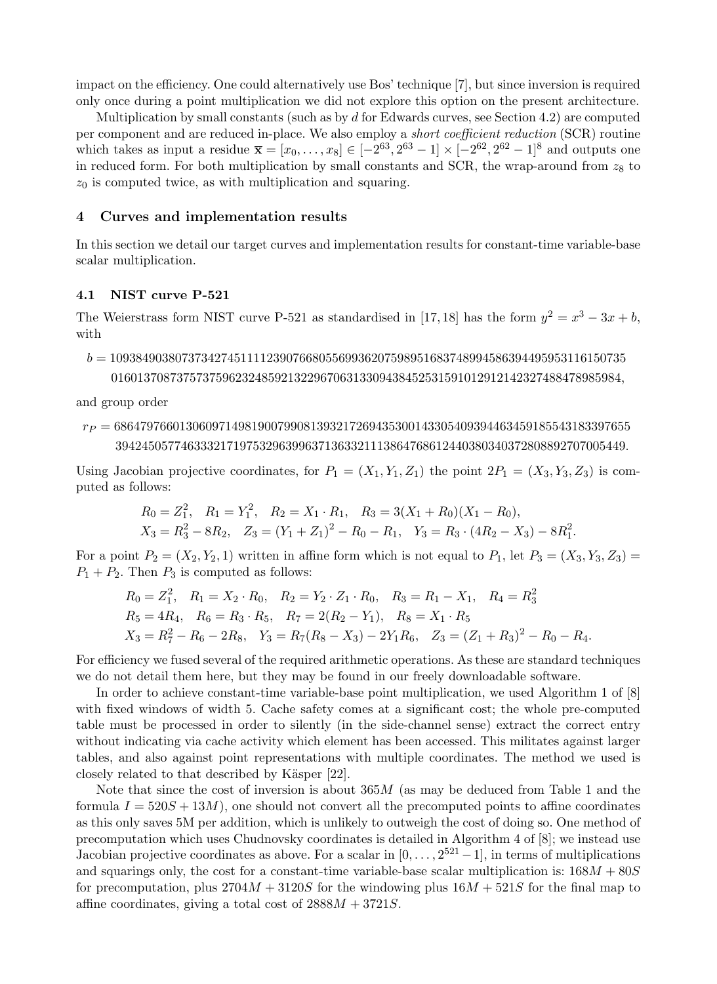impact on the efficiency. One could alternatively use Bos' technique [7], but since inversion is required only once during a point multiplication we did not explore this option on the present architecture.

Multiplication by small constants (such as by  $d$  for Edwards curves, see Section 4.2) are computed per component and are reduced in-place. We also employ a short coefficient reduction (SCR) routine which takes as input a residue  $\bar{x} = [x_0, \ldots, x_8] \in [-2^{63}, 2^{63} - 1] \times [-2^{62}, 2^{62} - 1]$ <sup>8</sup> and outputs one in reduced form. For both multiplication by small constants and SCR, the wrap-around from  $z_8$  to  $z_0$  is computed twice, as with multiplication and squaring.

#### 4 Curves and implementation results

In this section we detail our target curves and implementation results for constant-time variable-base scalar multiplication.

#### 4.1 NIST curve P-521

The Weierstrass form NIST curve P-521 as standardised in [17, 18] has the form  $y^2 = x^3 - 3x + b$ , with

 $b = 1093849038073734274511112390766805569936207598951683748994586394495953116150735$ 016013708737573759623248592132296706313309438452531591012912142327488478985984,

and group order

```
r_P = 6864797660130609714981900799081393217269435300143305409394463459185543183397655394245057746333217197532963996371363321113864768612440380340372808892707005449.
```
Using Jacobian projective coordinates, for  $P_1 = (X_1, Y_1, Z_1)$  the point  $2P_1 = (X_3, Y_3, Z_3)$  is computed as follows:

$$
R_0 = Z_1^2, \quad R_1 = Y_1^2, \quad R_2 = X_1 \cdot R_1, \quad R_3 = 3(X_1 + R_0)(X_1 - R_0),
$$
  

$$
X_3 = R_3^2 - 8R_2, \quad Z_3 = (Y_1 + Z_1)^2 - R_0 - R_1, \quad Y_3 = R_3 \cdot (4R_2 - X_3) - 8R_1^2.
$$

For a point  $P_2 = (X_2, Y_2, 1)$  written in affine form which is not equal to  $P_1$ , let  $P_3 = (X_3, Y_3, Z_3)$  $P_1 + P_2$ . Then  $P_3$  is computed as follows:

$$
R_0 = Z_1^2, \quad R_1 = X_2 \cdot R_0, \quad R_2 = Y_2 \cdot Z_1 \cdot R_0, \quad R_3 = R_1 - X_1, \quad R_4 = R_3^2
$$
  
\n
$$
R_5 = 4R_4, \quad R_6 = R_3 \cdot R_5, \quad R_7 = 2(R_2 - Y_1), \quad R_8 = X_1 \cdot R_5
$$
  
\n
$$
X_3 = R_7^2 - R_6 - 2R_8, \quad Y_3 = R_7(R_8 - X_3) - 2Y_1R_6, \quad Z_3 = (Z_1 + R_3)^2 - R_0 - R_4.
$$

For efficiency we fused several of the required arithmetic operations. As these are standard techniques we do not detail them here, but they may be found in our freely downloadable software.

In order to achieve constant-time variable-base point multiplication, we used Algorithm 1 of [8] with fixed windows of width 5. Cache safety comes at a significant cost; the whole pre-computed table must be processed in order to silently (in the side-channel sense) extract the correct entry without indicating via cache activity which element has been accessed. This militates against larger tables, and also against point representations with multiple coordinates. The method we used is closely related to that described by Käsper [22].

Note that since the cost of inversion is about  $365M$  (as may be deduced from Table 1 and the formula  $I = 520S + 13M$ , one should not convert all the precomputed points to affine coordinates as this only saves 5M per addition, which is unlikely to outweigh the cost of doing so. One method of precomputation which uses Chudnovsky coordinates is detailed in Algorithm 4 of [8]; we instead use Jacobian projective coordinates as above. For a scalar in  $[0, \ldots, 2^{521} - 1]$ , in terms of multiplications and squarings only, the cost for a constant-time variable-base scalar multiplication is:  $168M + 80S$ for precomputation, plus  $2704M + 3120S$  for the windowing plus  $16M + 521S$  for the final map to affine coordinates, giving a total cost of  $2888M + 3721S$ .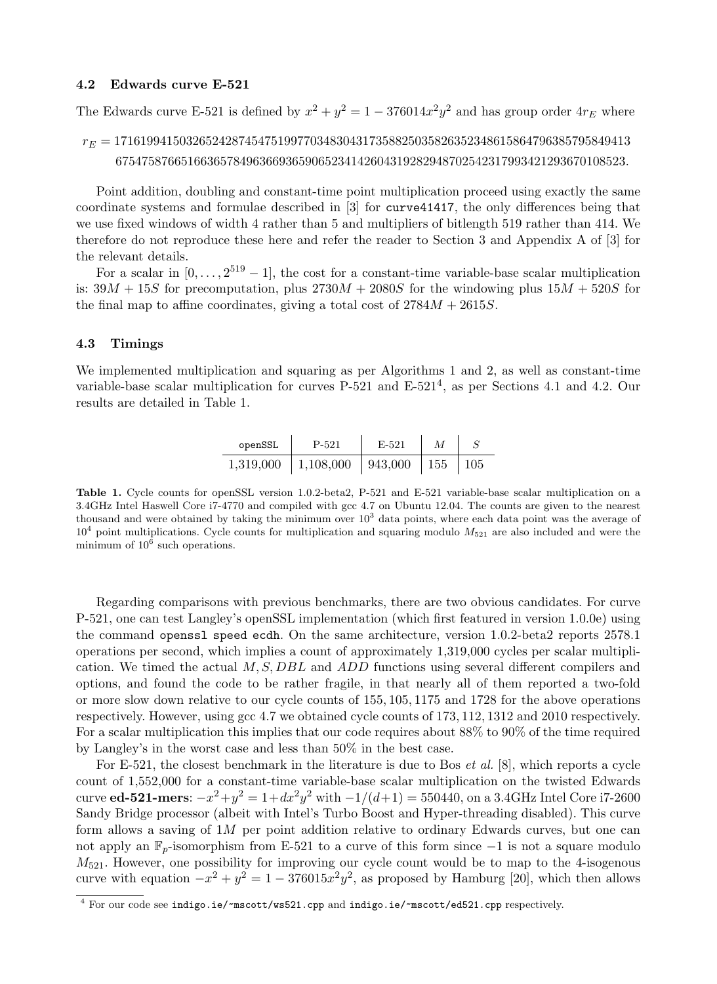#### 4.2 Edwards curve E-521

The Edwards curve E-521 is defined by  $x^2 + y^2 = 1 - 376014x^2y^2$  and has group order  $4r_E$  where

# $r_E = 1716199415032652428745475199770348304317358825035826352348615864796385795849413$ 675475876651663657849636693659065234142604319282948702542317993421293670108523.

Point addition, doubling and constant-time point multiplication proceed using exactly the same coordinate systems and formulae described in [3] for curve41417, the only differences being that we use fixed windows of width 4 rather than 5 and multipliers of bitlength 519 rather than 414. We therefore do not reproduce these here and refer the reader to Section 3 and Appendix A of [3] for the relevant details.

For a scalar in  $[0, \ldots, 2^{519} - 1]$ , the cost for a constant-time variable-base scalar multiplication is:  $39M + 15S$  for precomputation, plus  $2730M + 2080S$  for the windowing plus  $15M + 520S$  for the final map to affine coordinates, giving a total cost of  $2784M + 2615S$ .

#### 4.3 Timings

We implemented multiplication and squaring as per Algorithms 1 and 2, as well as constant-time variable-base scalar multiplication for curves P-521 and E-521<sup>4</sup>, as per Sections 4.1 and 4.2. Our results are detailed in Table 1.

| openSSL   | P-521     | E-521   |             |     |
|-----------|-----------|---------|-------------|-----|
| 1,319,000 | 1,108,000 | 943,000 | $\vert$ 155 | 105 |

Table 1. Cycle counts for openSSL version 1.0.2-beta2, P-521 and E-521 variable-base scalar multiplication on a 3.4GHz Intel Haswell Core i7-4770 and compiled with gcc 4.7 on Ubuntu 12.04. The counts are given to the nearest thousand and were obtained by taking the minimum over  $10<sup>3</sup>$  data points, where each data point was the average of  $10<sup>4</sup>$  point multiplications. Cycle counts for multiplication and squaring modulo  $M_{521}$  are also included and were the minimum of  $10^6$  such operations.

Regarding comparisons with previous benchmarks, there are two obvious candidates. For curve P-521, one can test Langley's openSSL implementation (which first featured in version 1.0.0e) using the command openssl speed ecdh. On the same architecture, version 1.0.2-beta2 reports 2578.1 operations per second, which implies a count of approximately 1,319,000 cycles per scalar multiplication. We timed the actual  $M, S, DBL$  and  $ADD$  functions using several different compilers and options, and found the code to be rather fragile, in that nearly all of them reported a two-fold or more slow down relative to our cycle counts of 155, 105, 1175 and 1728 for the above operations respectively. However, using gcc 4.7 we obtained cycle counts of 173, 112, 1312 and 2010 respectively. For a scalar multiplication this implies that our code requires about 88% to 90% of the time required by Langley's in the worst case and less than 50% in the best case.

For E-521, the closest benchmark in the literature is due to Bos et al. [8], which reports a cycle count of 1,552,000 for a constant-time variable-base scalar multiplication on the twisted Edwards curve **ed-521-mers**:  $-x^2 + y^2 = 1 + dx^2y^2$  with  $-1/(d+1) = 550440$ , on a 3.4GHz Intel Core i7-2600 Sandy Bridge processor (albeit with Intel's Turbo Boost and Hyper-threading disabled). This curve form allows a saving of  $1M$  per point addition relative to ordinary Edwards curves, but one can not apply an  $\mathbb{F}_p$ -isomorphism from E-521 to a curve of this form since  $-1$  is not a square modulo  $M_{521}$ . However, one possibility for improving our cycle count would be to map to the 4-isogenous curve with equation  $-x^2 + y^2 = 1 - 376015x^2y^2$ , as proposed by Hamburg [20], which then allows

 $\frac{4}{4}$  For our code see indigo.ie/~mscott/ws521.cpp and indigo.ie/~mscott/ed521.cpp respectively.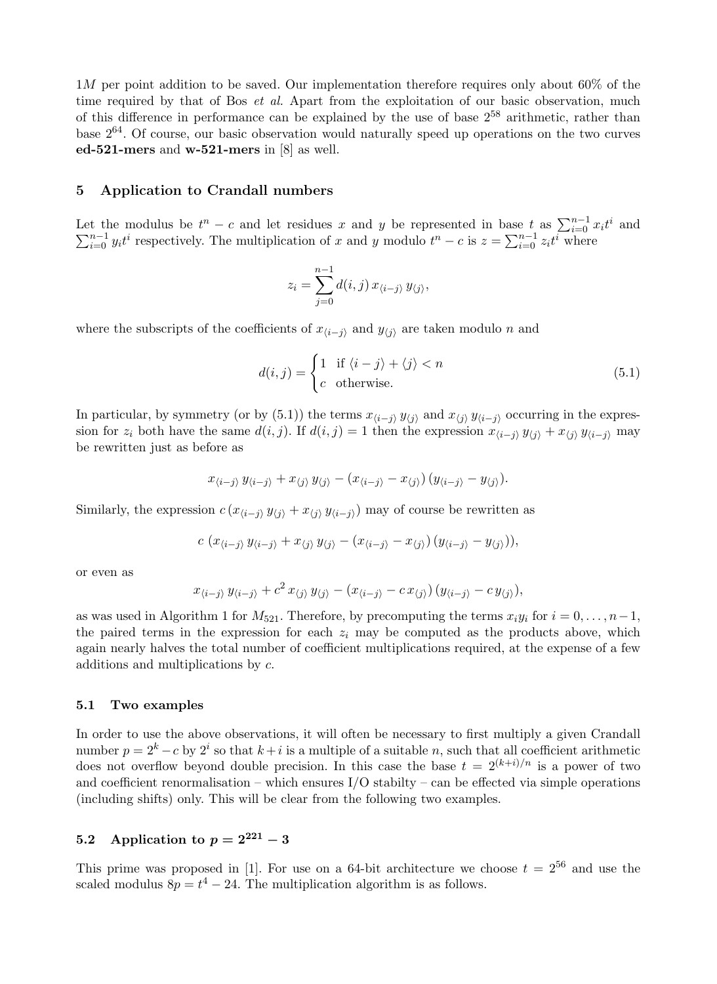$1M$  per point addition to be saved. Our implementation therefore requires only about 60% of the time required by that of Bos *et al.* Apart from the exploitation of our basic observation, much of this difference in performance can be explained by the use of base  $2^{58}$  arithmetic, rather than base 264. Of course, our basic observation would naturally speed up operations on the two curves ed-521-mers and w-521-mers in [8] as well.

#### 5 Application to Crandall numbers

Let the modulus be  $t^n - c$  and let residues x and y be represented in base  $t$  as  $\sum_{i=0}^{n-1} x_i t^i$  $\sum$ t the modulus be  $t^n - c$  and let residues x and y be represented in base t as  $\sum_{i=0}^{n-1} x_i t^i$  and  $\sum_{i=0}^{n-1} y_i t^i$  respectively. The multiplication of x and y modulo  $t^n - c$  is  $z = \sum_{i=0}^{n-1} z_i t^i$  where

$$
z_i = \sum_{j=0}^{n-1} d(i,j) x_{\langle i-j \rangle} y_{\langle j \rangle},
$$

where the subscripts of the coefficients of  $x_{\langle i-j \rangle}$  and  $y_{\langle j \rangle}$  are taken modulo n and

$$
d(i,j) = \begin{cases} 1 & \text{if } \langle i - j \rangle + \langle j \rangle < n \\ c & \text{otherwise.} \end{cases} \tag{5.1}
$$

In particular, by symmetry (or by (5.1)) the terms  $x_{\langle i-j \rangle} y_{\langle j \rangle}$  and  $x_{\langle j \rangle} y_{\langle i-j \rangle}$  occurring in the expression for  $z_i$  both have the same  $d(i, j)$ . If  $d(i, j) = 1$  then the expression  $x_{\langle i-j \rangle} y_{\langle j \rangle} + x_{\langle j \rangle} y_{\langle i-j \rangle}$  may be rewritten just as before as

$$
x_{\langle i-j\rangle} y_{\langle i-j\rangle} + x_{\langle j\rangle} y_{\langle j\rangle} - (x_{\langle i-j\rangle} - x_{\langle j\rangle}) (y_{\langle i-j\rangle} - y_{\langle j\rangle}).
$$

Similarly, the expression  $c(x_{\langle i-j \rangle} y_{\langle j \rangle} + x_{\langle j \rangle} y_{\langle i-j \rangle})$  may of course be rewritten as

$$
c(x_{\langle i-j\rangle} y_{\langle i-j\rangle} + x_{\langle j\rangle} y_{\langle j\rangle} - (x_{\langle i-j\rangle} - x_{\langle j\rangle}) (y_{\langle i-j\rangle} - y_{\langle j\rangle})),
$$

or even as

$$
x_{\langle i-j\rangle} y_{\langle i-j\rangle} + c^2 x_{\langle j\rangle} y_{\langle j\rangle} - (x_{\langle i-j\rangle} - c x_{\langle j\rangle}) (y_{\langle i-j\rangle} - c y_{\langle j\rangle}),
$$

as was used in Algorithm 1 for  $M_{521}$ . Therefore, by precomputing the terms  $x_i y_i$  for  $i = 0, \ldots, n-1$ , the paired terms in the expression for each  $z_i$  may be computed as the products above, which again nearly halves the total number of coefficient multiplications required, at the expense of a few additions and multiplications by c.

#### 5.1 Two examples

In order to use the above observations, it will often be necessary to first multiply a given Crandall number  $p = 2<sup>k</sup> - c$  by  $2<sup>i</sup>$  so that  $k+i$  is a multiple of a suitable n, such that all coefficient arithmetic does not overflow beyond double precision. In this case the base  $t = 2^{(k+i)/n}$  is a power of two and coefficient renormalisation – which ensures  $I/O$  stabilty – can be effected via simple operations (including shifts) only. This will be clear from the following two examples.

# 5.2 Application to  $p = 2^{221} - 3$

This prime was proposed in [1]. For use on a 64-bit architecture we choose  $t = 2^{56}$  and use the scaled modulus  $8p = t^4 - 24$ . The multiplication algorithm is as follows.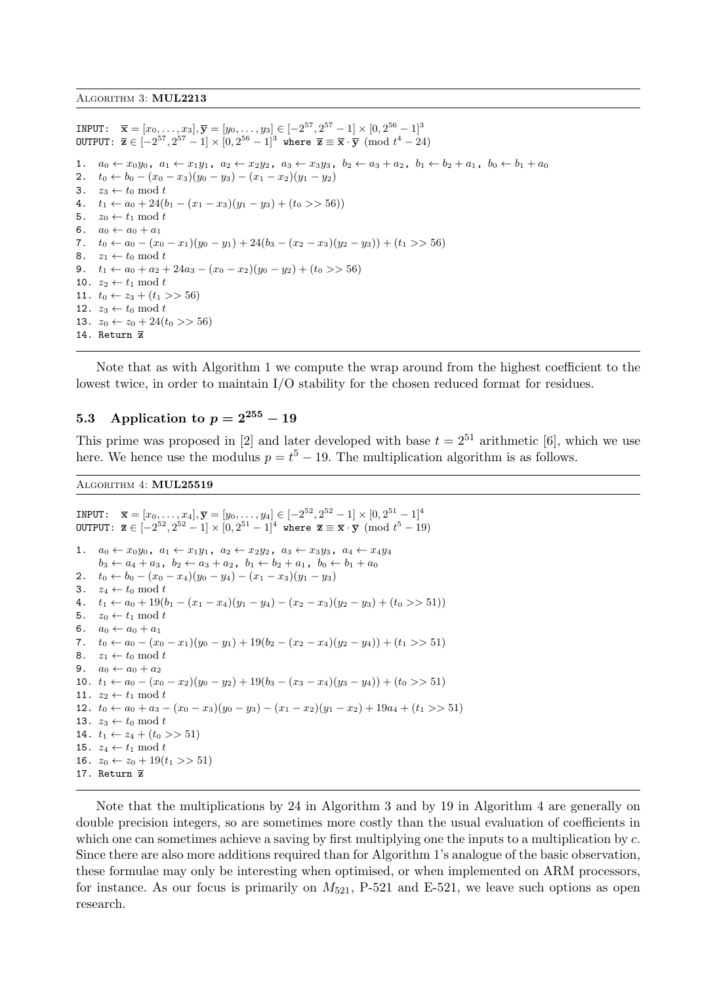INPUT:  $\overline{\mathbf{x}} = [x_0, \dots, x_3], \overline{\mathbf{y}} = [y_0, \dots, y_3] \in [-2^{57}, 2^{57} - 1] \times [0, 2^{56} - 1]^3$ OUTPUT:  $\overline{\mathbf{z}} \in [-2^{57}, 2^{57} - 1] \times [0, 2^{56} - 1]^3$  where  $\overline{\mathbf{z}} \equiv \overline{\mathbf{x}} \cdot \overline{\mathbf{y}} \pmod{t^4 - 24}$ 1.  $a_0 \leftarrow x_0y_0$ ,  $a_1 \leftarrow x_1y_1$ ,  $a_2 \leftarrow x_2y_2$ ,  $a_3 \leftarrow x_3y_3$ ,  $b_2 \leftarrow a_3 + a_2$ ,  $b_1 \leftarrow b_2 + a_1$ ,  $b_0 \leftarrow b_1 + a_0$ 2.  $t_0 \leftarrow b_0 - (x_0 - x_3)(y_0 - y_3) - (x_1 - x_2)(y_1 - y_2)$ 3.  $z_3 \leftarrow t_0 \mod t$ 4.  $t_1 \leftarrow a_0 + 24(b_1 - (x_1 - x_3)(y_1 - y_3) + (t_0 \gt 56))$ 5.  $z_0 \leftarrow t_1 \mod t$ 6.  $a_0 \leftarrow a_0 + a_1$ 7.  $t_0 \leftarrow a_0 - (x_0 - x_1)(y_0 - y_1) + 24(b_3 - (x_2 - x_3)(y_2 - y_3)) + (t_1 >> 56)$ 8.  $z_1 \leftarrow t_0 \mod t$ 9.  $t_1 \leftarrow a_0 + a_2 + 24a_3 - (x_0 - x_2)(y_0 - y_2) + (t_0 \geq 56)$ 10.  $z_2 \leftarrow t_1 \mod t$ 11.  $t_0 \leftarrow z_3 + (t_1 >> 56)$ 12.  $z_3 \leftarrow t_0 \mod t$ 13.  $z_0 \leftarrow z_0 + 24(t_0 >> 56)$ 14. Return z

Note that as with Algorithm 1 we compute the wrap around from the highest coefficient to the lowest twice, in order to maintain I/O stability for the chosen reduced format for residues.

#### 5.3 Application to  $p = 2^{255} - 19$

This prime was proposed in [2] and later developed with base  $t = 2^{51}$  arithmetic [6], which we use here. We hence use the modulus  $p = t^5 - 19$ . The multiplication algorithm is as follows.

Algorithm 4: MUL25519

INPUT:  $\overline{\mathbf{x}} = [x_0, \dots, x_4], \overline{\mathbf{y}} = [y_0, \dots, y_4] \in [-2^{52}, 2^{52} - 1] \times [0, 2^{51} - 1]^4$ OUTPUT:  $\bar{z} \in [-2^{52}, 2^{52} - 1] \times [0, 2^{51} - 1]^4$  where  $\bar{z} \equiv \bar{x} \cdot \bar{y} \pmod{t^5 - 19}$ 1.  $a_0 \leftarrow x_0 y_0$ ,  $a_1 \leftarrow x_1 y_1$ ,  $a_2 \leftarrow x_2 y_2$ ,  $a_3 \leftarrow x_3 y_3$ ,  $a_4 \leftarrow x_4 y_4$  $b_3 \leftarrow a_4 + a_3$ ,  $b_2 \leftarrow a_3 + a_2$ ,  $b_1 \leftarrow b_2 + a_1$ ,  $b_0 \leftarrow b_1 + a_0$ 2.  $t_0 \leftarrow b_0 - (x_0 - x_4)(y_0 - y_4) - (x_1 - x_3)(y_1 - y_3)$ 3.  $z_4 \leftarrow t_0 \mod t$ 4.  $t_1 \leftarrow a_0 + 19(b_1 - (x_1 - x_4)(y_1 - y_4) - (x_2 - x_3)(y_2 - y_3) + (t_0 \gg 51))$ 5.  $z_0 \leftarrow t_1 \mod t$ 6.  $a_0 \leftarrow a_0 + a_1$ 7.  $t_0 \leftarrow a_0 - (x_0 - x_1)(y_0 - y_1) + 19(b_2 - (x_2 - x_4)(y_2 - y_4)) + (t_1 >> 51)$ 8.  $z_1 \leftarrow t_0 \text{ mod } t$ 9.  $a_0 \leftarrow a_0 + a_2$ 10.  $t_1 \leftarrow a_0 - (x_0 - x_2)(y_0 - y_2) + 19(b_3 - (x_3 - x_4)(y_3 - y_4)) + (t_0 \geq 51)$ 11.  $z_2 \leftarrow t_1 \mod t$ 12.  $t_0 \leftarrow a_0 + a_3 - (x_0 - x_3)(y_0 - y_3) - (x_1 - x_2)(y_1 - x_2) + 19a_4 + (t_1 >> 51)$ 13.  $z_3 \leftarrow t_0 \mod t$ 14.  $t_1 \leftarrow z_4 + (t_0 \gt 51)$ 15.  $z_4 \leftarrow t_1 \mod t$ 16.  $z_0 \leftarrow z_0 + 19(t_1 >> 51)$ 17. Return z

Note that the multiplications by 24 in Algorithm 3 and by 19 in Algorithm 4 are generally on double precision integers, so are sometimes more costly than the usual evaluation of coefficients in which one can sometimes achieve a saving by first multiplying one the inputs to a multiplication by  $c$ . Since there are also more additions required than for Algorithm 1's analogue of the basic observation, these formulae may only be interesting when optimised, or when implemented on ARM processors, for instance. As our focus is primarily on  $M_{521}$ , P-521 and E-521, we leave such options as open research.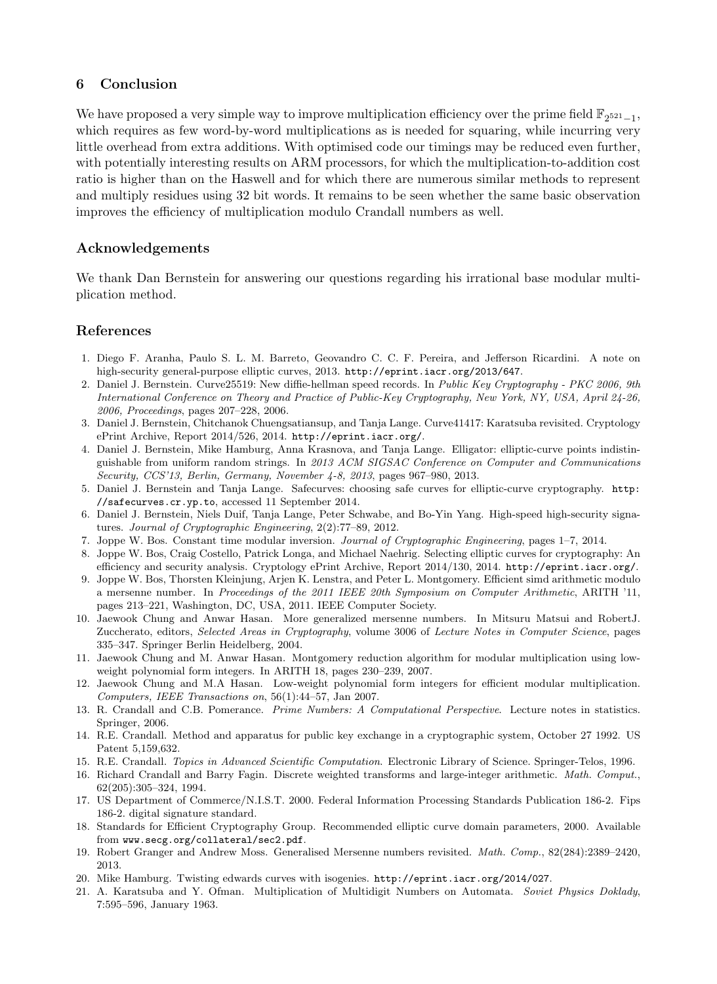## 6 Conclusion

We have proposed a very simple way to improve multiplication efficiency over the prime field  $\mathbb{F}_{2^{521}-1}$ , which requires as few word-by-word multiplications as is needed for squaring, while incurring very little overhead from extra additions. With optimised code our timings may be reduced even further, with potentially interesting results on ARM processors, for which the multiplication-to-addition cost ratio is higher than on the Haswell and for which there are numerous similar methods to represent and multiply residues using 32 bit words. It remains to be seen whether the same basic observation improves the efficiency of multiplication modulo Crandall numbers as well.

## Acknowledgements

We thank Dan Bernstein for answering our questions regarding his irrational base modular multiplication method.

## References

- 1. Diego F. Aranha, Paulo S. L. M. Barreto, Geovandro C. C. F. Pereira, and Jefferson Ricardini. A note on high-security general-purpose elliptic curves, 2013. http://eprint.iacr.org/2013/647.
- 2. Daniel J. Bernstein. Curve25519: New diffie-hellman speed records. In Public Key Cryptography PKC 2006, 9th International Conference on Theory and Practice of Public-Key Cryptography, New York, NY, USA, April 24-26, 2006, Proceedings, pages 207–228, 2006.
- 3. Daniel J. Bernstein, Chitchanok Chuengsatiansup, and Tanja Lange. Curve41417: Karatsuba revisited. Cryptology ePrint Archive, Report 2014/526, 2014. http://eprint.iacr.org/.
- 4. Daniel J. Bernstein, Mike Hamburg, Anna Krasnova, and Tanja Lange. Elligator: elliptic-curve points indistinguishable from uniform random strings. In 2013 ACM SIGSAC Conference on Computer and Communications Security, CCS'13, Berlin, Germany, November 4-8, 2013, pages 967–980, 2013.
- 5. Daniel J. Bernstein and Tanja Lange. Safecurves: choosing safe curves for elliptic-curve cryptography. http: //safecurves.cr.yp.to, accessed 11 September 2014.
- 6. Daniel J. Bernstein, Niels Duif, Tanja Lange, Peter Schwabe, and Bo-Yin Yang. High-speed high-security signatures. Journal of Cryptographic Engineering, 2(2):77–89, 2012.
- 7. Joppe W. Bos. Constant time modular inversion. Journal of Cryptographic Engineering, pages 1–7, 2014.
- 8. Joppe W. Bos, Craig Costello, Patrick Longa, and Michael Naehrig. Selecting elliptic curves for cryptography: An efficiency and security analysis. Cryptology ePrint Archive, Report 2014/130, 2014. http://eprint.iacr.org/.
- 9. Joppe W. Bos, Thorsten Kleinjung, Arjen K. Lenstra, and Peter L. Montgomery. Efficient simd arithmetic modulo a mersenne number. In Proceedings of the 2011 IEEE 20th Symposium on Computer Arithmetic, ARITH '11, pages 213–221, Washington, DC, USA, 2011. IEEE Computer Society.
- 10. Jaewook Chung and Anwar Hasan. More generalized mersenne numbers. In Mitsuru Matsui and RobertJ. Zuccherato, editors, Selected Areas in Cryptography, volume 3006 of Lecture Notes in Computer Science, pages 335–347. Springer Berlin Heidelberg, 2004.
- 11. Jaewook Chung and M. Anwar Hasan. Montgomery reduction algorithm for modular multiplication using lowweight polynomial form integers. In ARITH 18, pages 230–239, 2007.
- 12. Jaewook Chung and M.A Hasan. Low-weight polynomial form integers for efficient modular multiplication. Computers, IEEE Transactions on, 56(1):44–57, Jan 2007.
- 13. R. Crandall and C.B. Pomerance. Prime Numbers: A Computational Perspective. Lecture notes in statistics. Springer, 2006.
- 14. R.E. Crandall. Method and apparatus for public key exchange in a cryptographic system, October 27 1992. US Patent 5,159,632.
- 15. R.E. Crandall. Topics in Advanced Scientific Computation. Electronic Library of Science. Springer-Telos, 1996.
- 16. Richard Crandall and Barry Fagin. Discrete weighted transforms and large-integer arithmetic. Math. Comput., 62(205):305–324, 1994.
- 17. US Department of Commerce/N.I.S.T. 2000. Federal Information Processing Standards Publication 186-2. Fips 186-2. digital signature standard.
- 18. Standards for Efficient Cryptography Group. Recommended elliptic curve domain parameters, 2000. Available from www.secg.org/collateral/sec2.pdf.
- 19. Robert Granger and Andrew Moss. Generalised Mersenne numbers revisited. Math. Comp., 82(284):2389–2420, 2013.
- 20. Mike Hamburg. Twisting edwards curves with isogenies. http://eprint.iacr.org/2014/027.
- 21. A. Karatsuba and Y. Ofman. Multiplication of Multidigit Numbers on Automata. Soviet Physics Doklady, 7:595–596, January 1963.